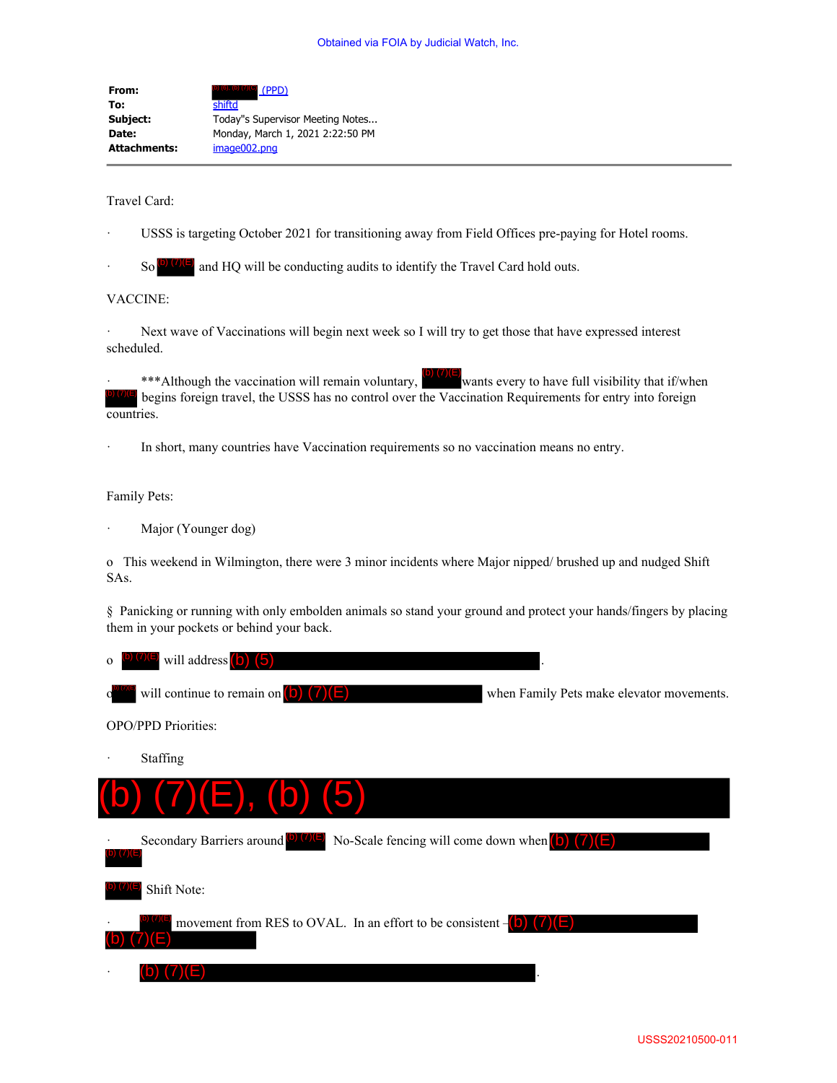**From:** (b) (c), (b) (7)(C) (PPD) **To:** shiftd **Subject:** Today"s Supervisor Meeting Notes... **Date:** Monday, March 1, 2021 2:22:50 PM **Attachments:** image002.png

Travel Card:

- USSS is targeting October 2021 for transitioning away from Field Offices pre-paying for Hotel rooms.
- So  $\overline{[9] \cdot 7}$  and HQ will be conducting audits to identify the Travel Card hold outs.

## VACCINE:

Next wave of Vaccinations will begin next week so I will try to get those that have expressed interest scheduled.

\*\*\*Although the vaccination will remain voluntary, wants every to have full visibility that if/when begins foreign travel, the USSS has no control over the Vaccination Requirements for entry into foreign countries.

In short, many countries have Vaccination requirements so no vaccination means no entry.

Family Pets:

Major (Younger dog)

o This weekend in Wilmington, there were 3 minor incidents where Major nipped/ brushed up and nudged Shift SAs.

§ Panicking or running with only embolden animals so stand your ground and protect your hands/fingers by placing them in your pockets or behind your back.

| $\sigma^{(b)(7)(E)}$ will address (b) (5)                |                                           |
|----------------------------------------------------------|-------------------------------------------|
| $c^{(b/7)(E)}$ will continue to remain on $(b)$ $(7)(E)$ | when Family Pets make elevator movements. |

OPO/PPD Priorities:

**Staffing**